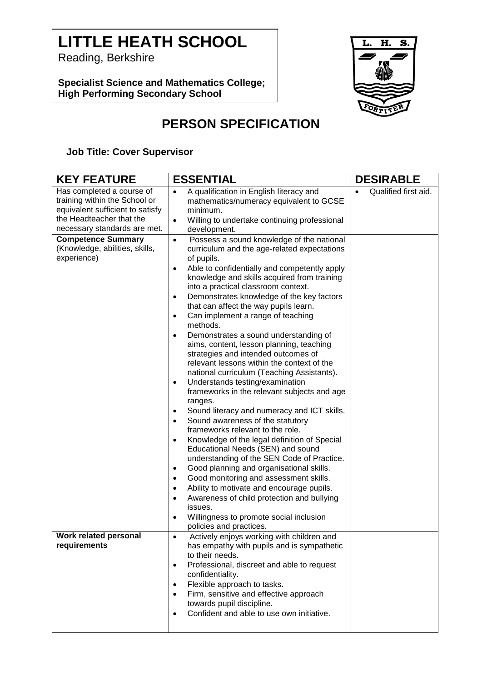## **LITTLE HEATH SCHOOL**

Reading, Berkshire

**Specialist Science and Mathematics College; High Performing Secondary School**



## **PERSON SPECIFICATION**

## **Job Title: Cover Supervisor**

| <b>KEY FEATURE</b>                                                                                                                                         | <b>ESSENTIAL</b>                                                                                                                                                                                                                                                                                                                                                                                                                                                                                                                                                                                                                                                                                                                                                                                                                                                                                                                                                                                                                                                                                                                                                                                                                                                                                                                                                                                              | <b>DESIRABLE</b>                  |
|------------------------------------------------------------------------------------------------------------------------------------------------------------|---------------------------------------------------------------------------------------------------------------------------------------------------------------------------------------------------------------------------------------------------------------------------------------------------------------------------------------------------------------------------------------------------------------------------------------------------------------------------------------------------------------------------------------------------------------------------------------------------------------------------------------------------------------------------------------------------------------------------------------------------------------------------------------------------------------------------------------------------------------------------------------------------------------------------------------------------------------------------------------------------------------------------------------------------------------------------------------------------------------------------------------------------------------------------------------------------------------------------------------------------------------------------------------------------------------------------------------------------------------------------------------------------------------|-----------------------------------|
| Has completed a course of<br>training within the School or<br>equivalent sufficient to satisfy<br>the Headteacher that the<br>necessary standards are met. | A qualification in English literacy and<br>$\bullet$<br>mathematics/numeracy equivalent to GCSE<br>minimum.<br>Willing to undertake continuing professional<br>$\bullet$<br>development.                                                                                                                                                                                                                                                                                                                                                                                                                                                                                                                                                                                                                                                                                                                                                                                                                                                                                                                                                                                                                                                                                                                                                                                                                      | Qualified first aid.<br>$\bullet$ |
| <b>Competence Summary</b><br>(Knowledge, abilities, skills,<br>experience)                                                                                 | Possess a sound knowledge of the national<br>$\bullet$<br>curriculum and the age-related expectations<br>of pupils.<br>Able to confidentially and competently apply<br>$\bullet$<br>knowledge and skills acquired from training<br>into a practical classroom context.<br>Demonstrates knowledge of the key factors<br>$\bullet$<br>that can affect the way pupils learn.<br>Can implement a range of teaching<br>$\bullet$<br>methods.<br>Demonstrates a sound understanding of<br>$\bullet$<br>aims, content, lesson planning, teaching<br>strategies and intended outcomes of<br>relevant lessons within the context of the<br>national curriculum (Teaching Assistants).<br>Understands testing/examination<br>$\bullet$<br>frameworks in the relevant subjects and age<br>ranges.<br>Sound literacy and numeracy and ICT skills.<br>$\bullet$<br>Sound awareness of the statutory<br>$\bullet$<br>frameworks relevant to the role.<br>Knowledge of the legal definition of Special<br>$\bullet$<br>Educational Needs (SEN) and sound<br>understanding of the SEN Code of Practice.<br>Good planning and organisational skills.<br>$\bullet$<br>Good monitoring and assessment skills.<br>$\bullet$<br>Ability to motivate and encourage pupils.<br>$\bullet$<br>Awareness of child protection and bullying<br>$\bullet$<br>issues.<br>Willingness to promote social inclusion<br>policies and practices. |                                   |
| Work related personal<br>requirements                                                                                                                      | Actively enjoys working with children and<br>$\bullet$<br>has empathy with pupils and is sympathetic<br>to their needs.<br>Professional, discreet and able to request<br>$\bullet$<br>confidentiality.<br>Flexible approach to tasks.<br>$\bullet$<br>Firm, sensitive and effective approach<br>$\bullet$<br>towards pupil discipline.<br>Confident and able to use own initiative.<br>$\bullet$                                                                                                                                                                                                                                                                                                                                                                                                                                                                                                                                                                                                                                                                                                                                                                                                                                                                                                                                                                                                              |                                   |